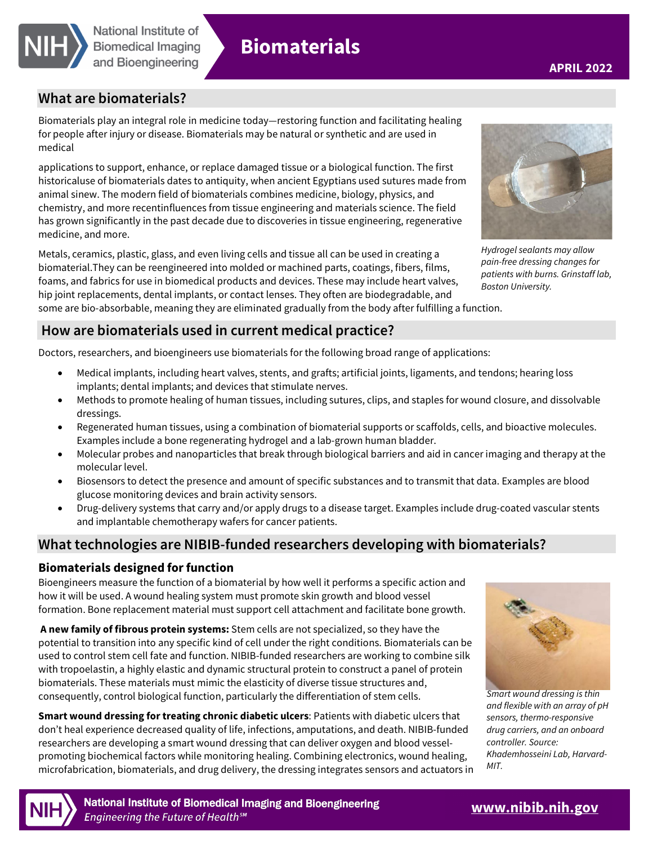

# **Biomaterials**

# **What are biomaterials?**

Biomaterials play an integral role in medicine today—restoring function and facilitating healing for people after injury or disease. Biomaterials may be natural or synthetic and are used in medical

applications to support, enhance, or replace damaged tissue or a biological function. The first historicaluse of biomaterials dates to antiquity, when ancient Egyptians used sutures made from animal sinew. The modern field of biomaterials combines medicine, biology, physics, and chemistry, and more recentinfluences from tissue engineering and materials science. The field has grown significantly in the past decade due to discoveries in tissue engineering, regenerative medicine, and more.

Metals, ceramics, plastic, glass, and even living cells and tissue all can be used in creating a biomaterial.They can be reengineered into molded or machined parts, coatings, fibers, films, foams, and fabrics for use in biomedical products and devices. These may include heart valves, hip joint replacements, dental implants, or contact lenses. They often are biodegradable, and some are bio-absorbable, meaning they are eliminated gradually from the body after fulfilling a function.



Hydrogel sealants may allow pain-free dressing changes for patients with burns. Grinstaff lab, Boston University.

# **How are biomaterials used in current medical practice?**

Doctors, researchers, and bioengineers use biomaterials for the following broad range of applications:

- Medical implants, including heart valves, stents, and grafts; artificial joints, ligaments, and tendons; hearing loss implants; dental implants; and devices that stimulate nerves.
- Methods to promote healing of human tissues, including sutures, clips, and staples for wound closure, and dissolvable dressings.
- Regenerated human tissues, using a combination of biomaterial supports or scaffolds, cells, and bioactive molecules. Examples include a bone regenerating hydrogel and a lab-grown human bladder.
- Molecular probes and nanoparticles that break through biological barriers and aid in cancer imaging and therapy at the molecular level.
- Biosensors to detect the presence and amount of specific substances and to transmit that data. Examples are blood glucose monitoring devices and brain activity sensors.
- Drug-delivery systems that carry and/or apply drugs to a disease target. Examples include drug-coated vascular stents and implantable chemotherapy wafers for cancer patients.

## **What technologies are NIBIB-funded researchers developing with biomaterials?**

#### **Biomaterials designed for function**

Bioengineers measure the function of a biomaterial by how well it performs a specific action and how it will be used. A wound healing system must promote skin growth and blood vessel formation. Bone replacement material must support cell attachment and facilitate bone growth.

**A new family of fibrous protein systems:** Stem cells are not specialized, so they have the potential to transition into any specific kind of cell under the right conditions. Biomaterials can be used to control stem cell fate and function. NIBIB-funded researchers are working to combine silk with tropoelastin, a highly elastic and dynamic structural protein to construct a panel of protein biomaterials. These materials must mimic the elasticity of diverse tissue structures and, consequently, control biological function, particularly the differentiation of stem cells.

**Smart wound dressing for treating chronic diabetic ulcers**: Patients with diabetic ulcers that don't heal experience decreased quality of life, infections, amputations, and death. NIBIB-funded researchers are developing a smart wound dressing that can deliver oxygen and blood vesselpromoting biochemical factors while monitoring healing. Combining electronics, wound healing, microfabrication, biomaterials, and drug delivery, the dressing integrates sensors and actuators in



Smart wound dressing is thin and flexible with an array of pH sensors, thermo-responsive drug carriers, and an onboard controller. Source: Khademhosseini Lab, Harvard-MIT.



National Institute of Biomedical Imaging and Bioengineering Engineering the Future of Health<sup>sM</sup>

# **[www.nibib.nih.gov](https://www.nibib.nih.gov/)**